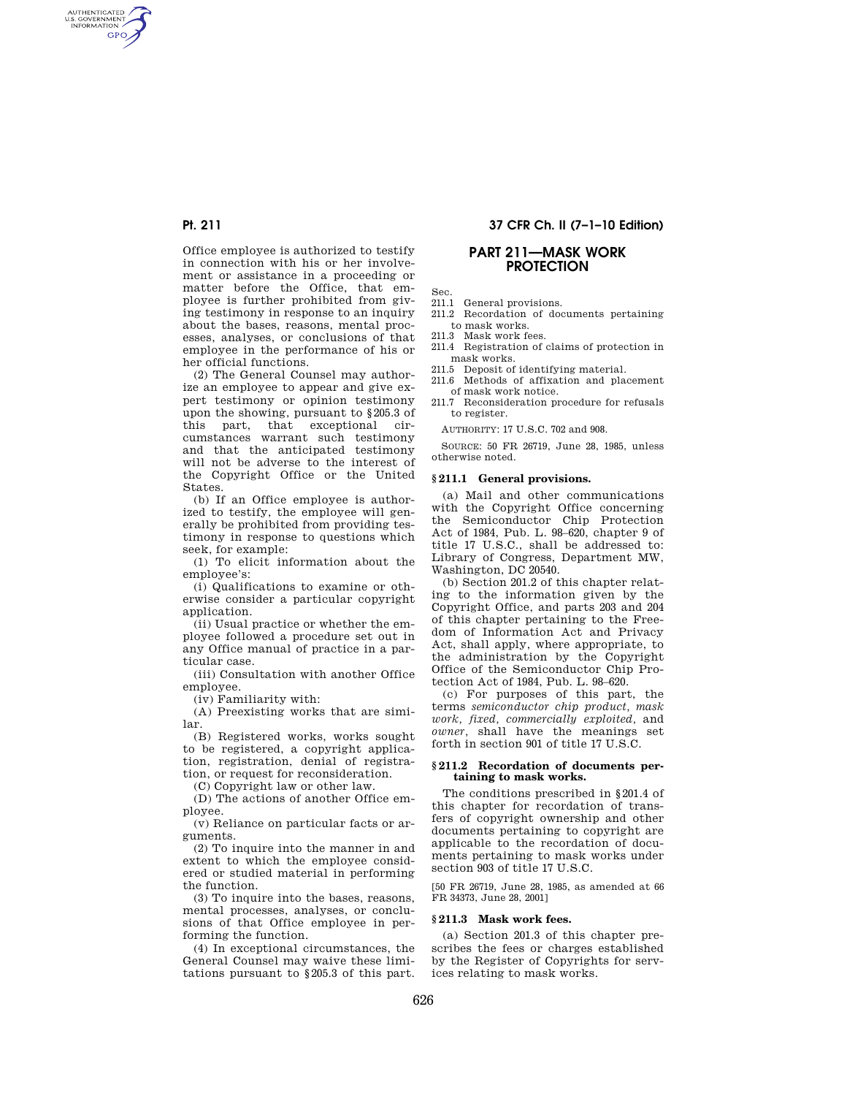AUTHENTICATED<br>U.S. GOVERNMENT<br>INFORMATION **GPO** 

> Office employee is authorized to testify in connection with his or her involvement or assistance in a proceeding or matter before the Office, that employee is further prohibited from giving testimony in response to an inquiry about the bases, reasons, mental processes, analyses, or conclusions of that employee in the performance of his or her official functions.

> (2) The General Counsel may authorize an employee to appear and give expert testimony or opinion testimony upon the showing, pursuant to §205.3 of this part, that exceptional circumstances warrant such testimony and that the anticipated testimony will not be adverse to the interest of the Copyright Office or the United **States**

> (b) If an Office employee is authorized to testify, the employee will generally be prohibited from providing testimony in response to questions which seek, for example:

> (1) To elicit information about the employee's:

> (i) Qualifications to examine or otherwise consider a particular copyright application.

> (ii) Usual practice or whether the employee followed a procedure set out in any Office manual of practice in a particular case.

(iii) Consultation with another Office employee.

(iv) Familiarity with:

(A) Preexisting works that are similar.

(B) Registered works, works sought to be registered, a copyright application, registration, denial of registration, or request for reconsideration.

(C) Copyright law or other law.

(D) The actions of another Office employee.

(v) Reliance on particular facts or arguments.

(2) To inquire into the manner in and extent to which the employee considered or studied material in performing the function.

(3) To inquire into the bases, reasons, mental processes, analyses, or conclusions of that Office employee in performing the function.

(4) In exceptional circumstances, the General Counsel may waive these limitations pursuant to §205.3 of this part.

# **Pt. 211 37 CFR Ch. II (7–1–10 Edition)**

# **PART 211—MASK WORK PROTECTION**

Sec.<br>211.1

- General provisions. 211.2 Recordation of documents pertaining to mask works.
- 211.3 Mask work fees.
- 211.4 Registration of claims of protection in mask works.
- 211.5 Deposit of identifying material.
- 211.6 Methods of affixation and placement of mask work notice.
- 211.7 Reconsideration procedure for refusals to register.

AUTHORITY: 17 U.S.C. 702 and 908.

SOURCE: 50 FR 26719, June 28, 1985, unless otherwise noted.

## **§ 211.1 General provisions.**

(a) Mail and other communications with the Copyright Office concerning the Semiconductor Chip Protection Act of 1984, Pub. L. 98–620, chapter 9 of title 17 U.S.C., shall be addressed to: Library of Congress, Department MW, Washington, DC 20540.

(b) Section 201.2 of this chapter relating to the information given by the Copyright Office, and parts 203 and 204 of this chapter pertaining to the Freedom of Information Act and Privacy Act, shall apply, where appropriate, to the administration by the Copyright Office of the Semiconductor Chip Protection Act of 1984, Pub. L. 98–620.

(c) For purposes of this part, the terms *semiconductor chip product, mask work, fixed, commercially exploited,* and *owner,* shall have the meanings set forth in section 901 of title 17 U.S.C.

## **§ 211.2 Recordation of documents pertaining to mask works.**

The conditions prescribed in §201.4 of this chapter for recordation of transfers of copyright ownership and other documents pertaining to copyright are applicable to the recordation of documents pertaining to mask works under section 903 of title 17 U.S.C.

[50 FR 26719, June 28, 1985, as amended at 66 FR 34373, June 28, 2001]

#### **§ 211.3 Mask work fees.**

(a) Section 201.3 of this chapter prescribes the fees or charges established by the Register of Copyrights for services relating to mask works.